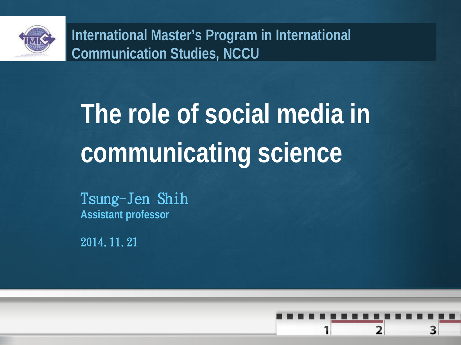

**International Master's Program in International Communication Studies, NCCU**

# **The role of social media in communicating science**

Tsung-Jen Shih **Assistant professor**

2014.11.21

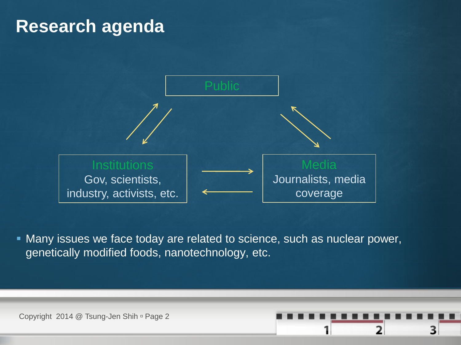#### **Research agenda**



 Many issues we face today are related to science, such as nuclear power, genetically modified foods, nanotechnology, etc.

2

3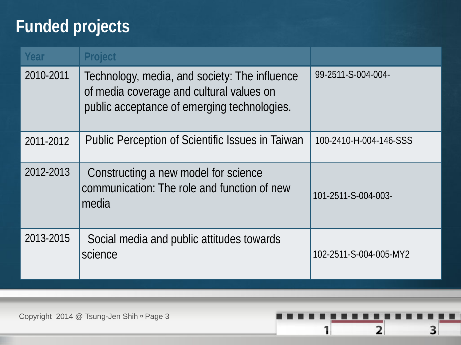#### **Funded projects**

| Year      | <b>Project</b>                                                                                                                           |                        |
|-----------|------------------------------------------------------------------------------------------------------------------------------------------|------------------------|
| 2010-2011 | Technology, media, and society: The influence<br>of media coverage and cultural values on<br>public acceptance of emerging technologies. | 99-2511-S-004-004-     |
| 2011-2012 | Public Perception of Scientific Issues in Taiwan                                                                                         | 100-2410-H-004-146-SSS |
| 2012-2013 | Constructing a new model for science<br>communication: The role and function of new<br>media                                             | 101-2511-S-004-003-    |
| 2013-2015 | Social media and public attitudes towards<br>science                                                                                     | 102-2511-S-004-005-MY2 |

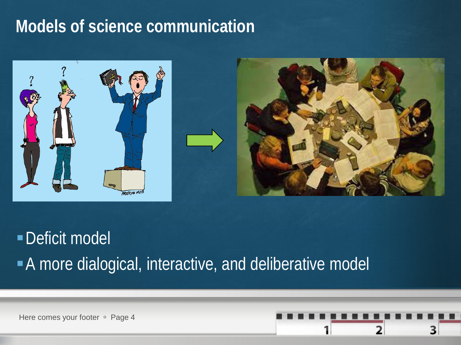#### **Models of science communication**





# Deficit model A more dialogical, interactive, and deliberative model

Here comes your footer **Page 4** 

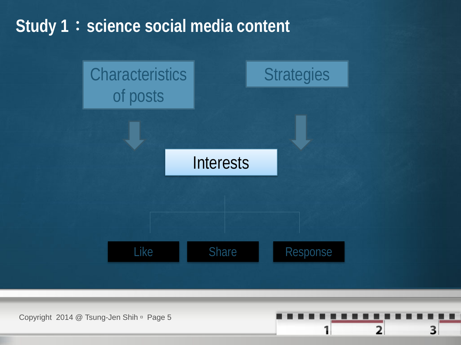#### **Study 1**:**science social media content**



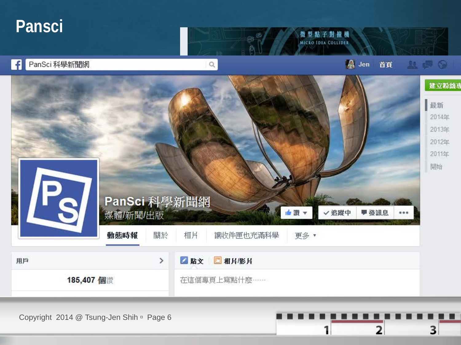#### **Pansci**



2

1

3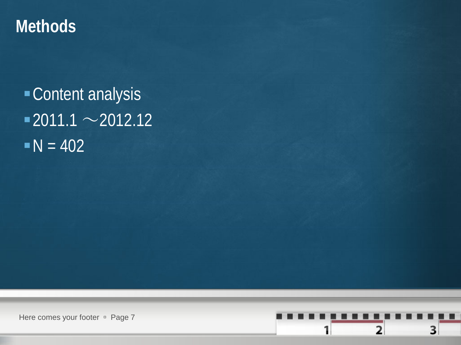#### **Methods**

Content analysis  $-2011.1 \sim 2012.12$  $N = 402$ 

Here comes your footer **Page 7** 

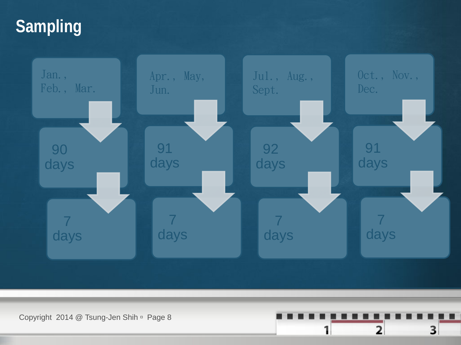## **Sampling**



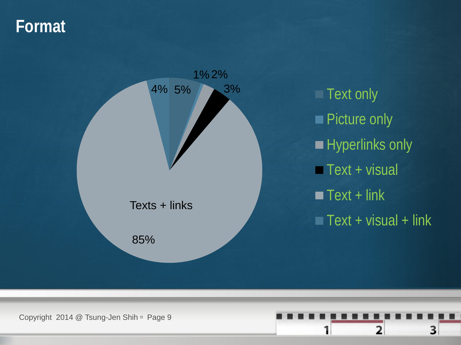#### **Format**



**Text only Picture only Hyperlinks only**  $\blacksquare$  Text + visual  $\blacksquare$  Text + link  $\overline{\text{Text}}$  + visual + link

Copyright 2014 @ Tsung-Jen Shih <sup>n</sup> Page 9

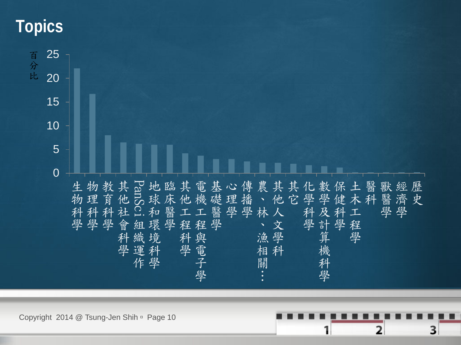#### **Topics**



2

3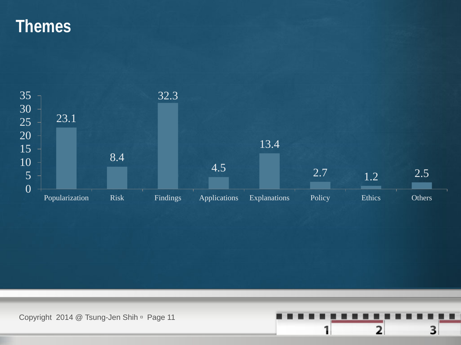#### **Themes**



Copyright 2014 @ Tsung-Jen Shih <sup>n</sup> Page 11

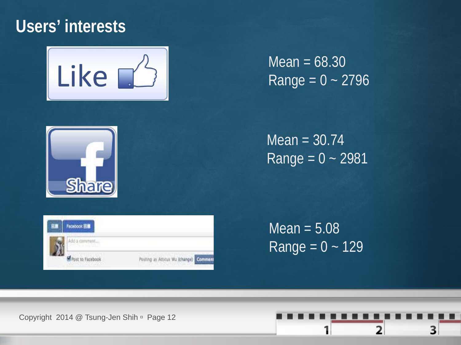#### **Users' interests**



 $Mean = 68.30$  $Range = 0 - 2796$ 



 $Mean = 30.74$  $Range = 0 - 2981$ 



 $Mean = 5.08$ Range =  $0 - 129$ 

Copyright 2014 @ Tsung-Jen Shih Page 12

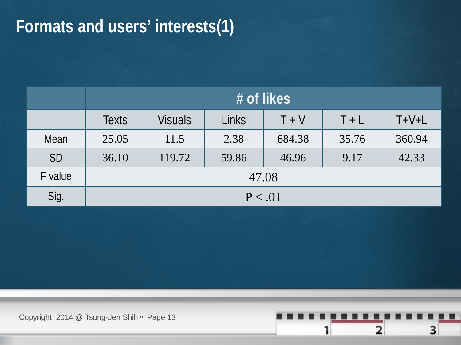#### **Formats and users' interests(1)**

|           | # of likes   |                |              |         |         |         |
|-----------|--------------|----------------|--------------|---------|---------|---------|
|           | <b>Texts</b> | <b>Visuals</b> | <b>Links</b> | $T + V$ | $T + L$ | $T+V+L$ |
| Mean      | 25.05        | 11.5           | 2.38         | 684.38  | 35.76   | 360.94  |
| <b>SD</b> | 36.10        | 119.72         | 59.86        | 46.96   | 9.17    | 42.33   |
| F value   | 47.08        |                |              |         |         |         |
| Sig.      | P < .01      |                |              |         |         |         |

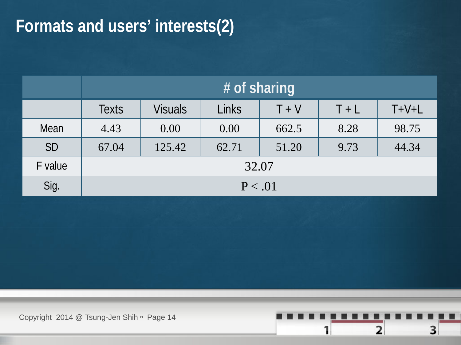#### **Formats and users' interests(2)**

|           | # of sharing |                |              |         |         |         |
|-----------|--------------|----------------|--------------|---------|---------|---------|
|           | <b>Texts</b> | <b>Visuals</b> | <b>Links</b> | $T + V$ | $T + L$ | $T+V+L$ |
| Mean      | 4.43         | 0.00           | 0.00         | 662.5   | 8.28    | 98.75   |
| <b>SD</b> | 67.04        | 125.42         | 62.71        | 51.20   | 9.73    | 44.34   |
| F value   | 32.07        |                |              |         |         |         |
| Sig.      | P < .01      |                |              |         |         |         |

Copyright 2014 @ Tsung-Jen Shih <sup>n</sup> Page 14

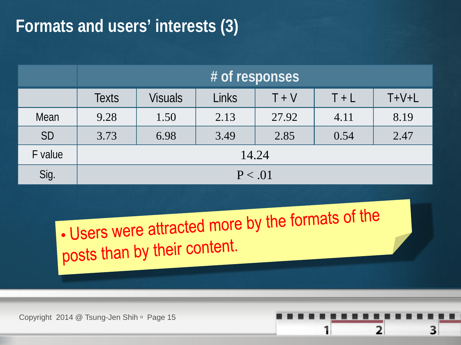#### **Formats and users' interests (3)**

|           | # of responses |                |       |         |         |         |
|-----------|----------------|----------------|-------|---------|---------|---------|
|           | <b>Texts</b>   | <b>Visuals</b> | Links | $T + V$ | $T + L$ | $T+V+L$ |
| Mean      | 9.28           | 1.50           | 2.13  | 27.92   | 4.11    | 8.19    |
| <b>SD</b> | 3.73           | 6.98           | 3.49  | 2.85    | 0.54    | 2.47    |
| F value   | 14.24          |                |       |         |         |         |
| Sig.      | P < .01        |                |       |         |         |         |

. Users were attracted more by the formats of the posts than by their content.

2

З

Copyright 2014 @ Tsung-Jen Shih Page 15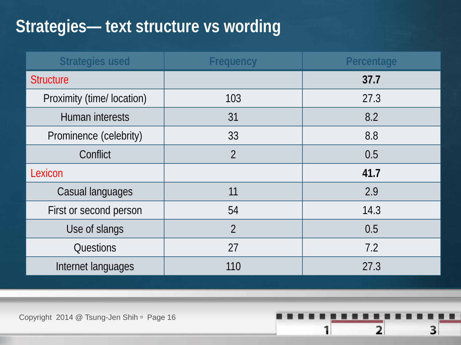### **Strategies— text structure vs wording**

| <b>Strategies used</b>     | <b>Frequency</b> | Percentage |
|----------------------------|------------------|------------|
| <b>Structure</b>           |                  | 37.7       |
| Proximity (time/ location) | 103              | 27.3       |
| Human interests            | 31               | 8.2        |
| Prominence (celebrity)     | 33               | 8.8        |
| Conflict                   | $\overline{2}$   | 0.5        |
| Lexicon                    |                  | 41.7       |
| Casual languages           | 11               | 2.9        |
| First or second person     | 54               | 14.3       |
| Use of slangs              | $\overline{2}$   | 0.5        |
| Questions                  | 27               | 7.2        |
| Internet languages         | 110              | 27.3       |

 $\overline{\mathbf{2}}$ 

3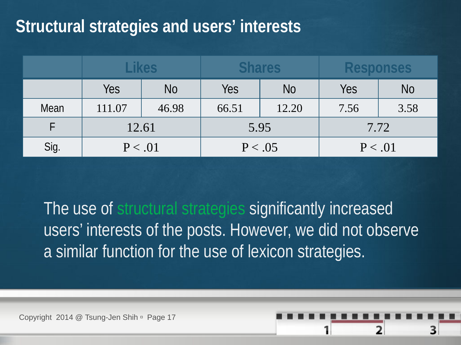#### **Structural strategies and users' interests**

|      | <b>Likes</b> |           | <b>Shares</b> |                | <b>Responses</b> |      |
|------|--------------|-----------|---------------|----------------|------------------|------|
|      | Yes          | <b>No</b> | Yes           | N <sub>O</sub> | Yes              | No   |
| Mean | 111.07       | 46.98     | 66.51         | 12.20          | 7.56             | 3.58 |
|      | 12.61        |           | 5.95          |                | 7.72             |      |
| Sig. | P < .01      |           | P < .05       |                | P < .01          |      |

The use of structural strategies significantly increased users' interests of the posts. However, we did not observe a similar function for the use of lexicon strategies.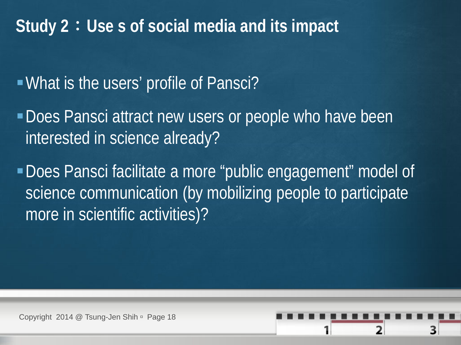#### **Study 2**:**Use s of social media and its impact**

#### What is the users' profile of Pansci?

- Does Pansci attract new users or people who have been interested in science already?
- Does Pansci facilitate a more "public engagement" model of science communication (by mobilizing people to participate more in scientific activities)?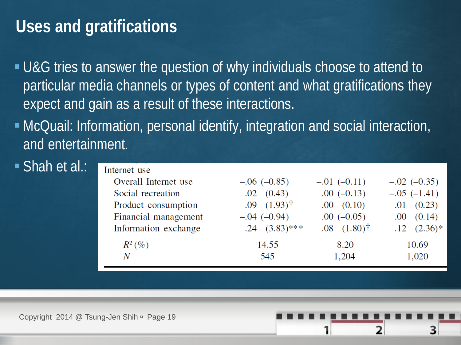#### **Uses and gratifications**

- U&G tries to answer the question of why individuals choose to attend to particular media channels or types of content and what gratifications they expect and gain as a result of these interactions.
- McQuail: Information, personal identify, integration and social interaction, and entertainment.

#### ■ Shah et al.:

| Internet use         |                          |                             |                    |
|----------------------|--------------------------|-----------------------------|--------------------|
| Overall Internet use | $-.06 (-0.85)$           | $-.01(-0.11)$               | $-.02 (-0.35)$     |
| Social recreation    | $.02 \quad (0.43)$       | $.00(-0.13)$                | $-.05$ $(-1.41)$   |
| Product consumption  | $.09(1.93)$ <sup>†</sup> | $.00 \quad (0.10)$          | $.01 \quad (0.23)$ |
| Financial management | $-.04 (-0.94)$           | $.00 (-0.05)$               | $.00 \quad (0.14)$ |
| Information exchange | $.24$ $(3.83)$ ***       | $.08$ $(1.80)$ <sup>†</sup> | $.12(2.36)*$       |
| $R^2(\%)$            | 14.55                    | 8.20                        | 10.69              |
| Ν                    | 545                      | 1,204                       | 1,020              |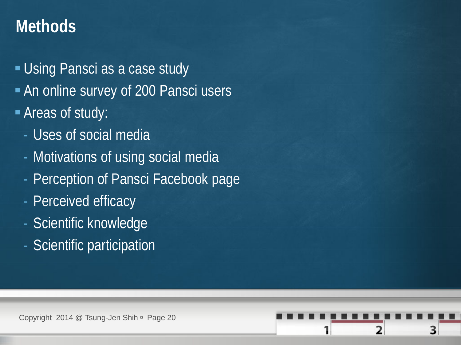#### **Methods**

- **Using Pansci as a case study**
- An online survey of 200 Pansci users
- Areas of study:
	- Uses of social media
	- Motivations of using social media
	- Perception of Pansci Facebook page
	- Perceived efficacy
	- Scientific knowledge
	- Scientific participation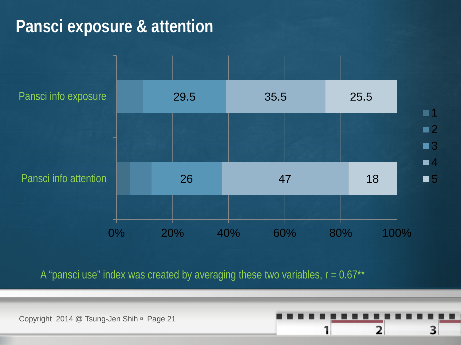#### **Pansci exposure & attention**



1  $\blacksquare$ **3** 4 ■5

A "pansci use" index was created by averaging these two variables,  $r = 0.67**$ 

Copyright 2014 @ Tsung-Jen Shih <sup>n</sup> Page 21

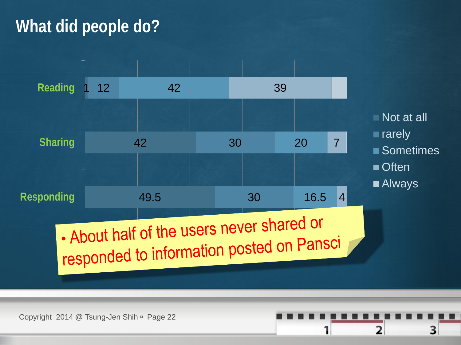#### **What did people do?**



Not at all **rarely** ■ Sometimes ■ Often ■ Always

2

з

Copyright 2014 @ Tsung-Jen Shih Page 22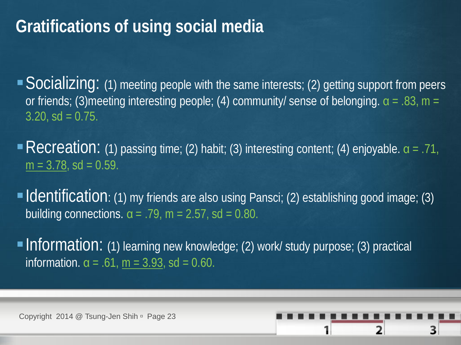#### **Gratifications of using social media**

 $\blacktriangleright$   $\blacktriangleright$   $\blacktriangleright$   $\blacktriangleright$   $\triangleleft$   $\blacktriangleright$   $\triangleleft$   $\triangleright$   $\triangleleft$   $\triangleright$   $\triangleleft$   $\triangleright$   $\triangleleft$   $\triangleright$   $\triangleleft$   $\triangleright$   $\triangleleft$   $\triangleright$   $\triangleleft$   $\triangleright$   $\triangleleft$   $\triangleright$   $\triangleleft$   $\triangleright$   $\triangleleft$   $\triangleright$   $\triangleleft$   $\triangleright$   $\triangleleft$   $\triangleright$   $\triangleleft$   $\triangleright$   $\triangleleft$  or friends; (3)meeting interesting people; (4) community/ sense of belonging.  $\alpha = .83$ , m =  $3.20$ , sd = 0.75.

Recreation: (1) passing time; (2) habit; (3) interesting content; (4) enjoyable.  $\alpha$  = .71,  $m = 3.78$ , sd = 0.59.

**Identification**: (1) my friends are also using Pansci; (2) establishing good image; (3) building connections.  $\alpha = .79$ ,  $m = 2.57$ , sd = 0.80.

**Information:** (1) learning new knowledge; (2) work/ study purpose; (3) practical information.  $α = .61$ ,  $m = 3.93$ , sd = 0.60.

Copyright 2014 @ Tsung-Jen Shih <sup>n</sup> Page 23

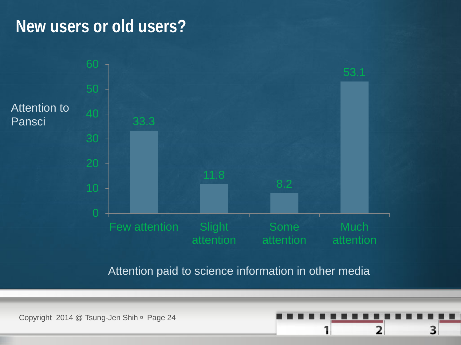#### **New users or old users?**



Attention paid to science information in other media

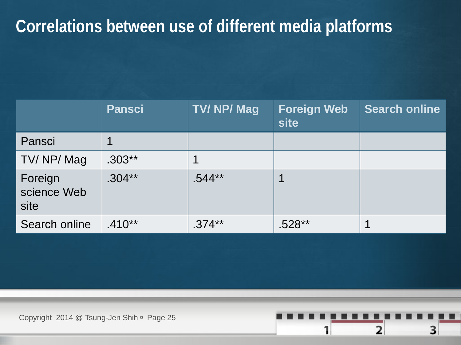#### **Correlations between use of different media platforms**

|                                | <b>Pansci</b> | <b>TV/NP/Mag</b> | <b>Foreign Web</b><br>site | <b>Search online</b> |
|--------------------------------|---------------|------------------|----------------------------|----------------------|
| Pansci                         |               |                  |                            |                      |
| TV/NP/Mag                      | $.303**$      |                  |                            |                      |
| Foreign<br>science Web<br>site | $.304***$     | $.544**$         |                            |                      |
| Search online                  | $.410**$      | $.374***$        | .528**                     |                      |

 $\overline{2}$ 

3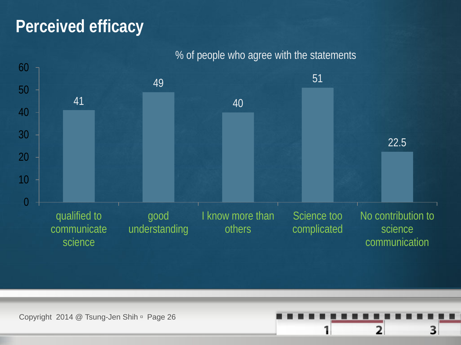#### **Perceived efficacy**



#### % of people who agree with the statements

Copyright 2014 @ Tsung-Jen Shih <sup>n</sup> Page 26

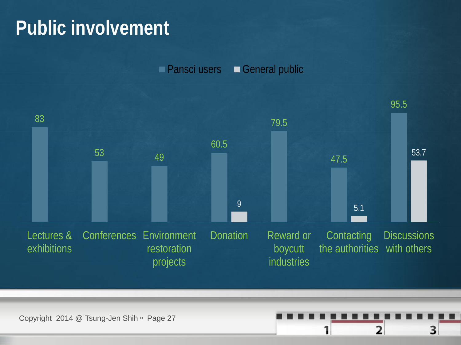# **Public involvement**

**Pansci users General public** 



Copyright 2014 @ Tsung-Jen Shih Page 27

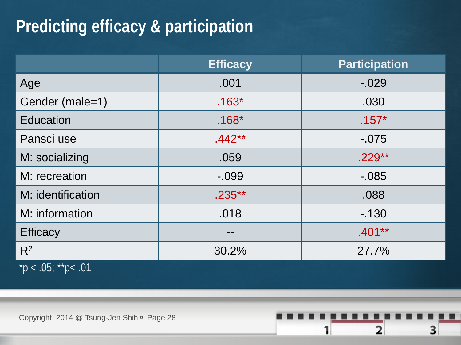### **Predicting efficacy & participation**

|                               | <b>Efficacy</b> | <b>Participation</b> |
|-------------------------------|-----------------|----------------------|
| Age                           | .001            | $-0.029$             |
| Gender (male=1)               | $.163*$         | .030                 |
| <b>Education</b>              | $.168*$         | $.157*$              |
| Pansci use                    | $.442**$        | $-0.075$             |
| M: socializing                | .059            | $.229**$             |
| M: recreation                 | $-0.099$        | $-0.085$             |
| M: identification             | $.235***$       | .088                 |
| M: information                | .018            | $-130$               |
| <b>Efficacy</b>               |                 | $.401**$             |
| $R^2$                         | 30.2%           | 27.7%                |
| $p^*$ $> 0.05$ ; ** $p < .01$ |                 |                      |

 $\overline{\mathbf{2}}$ 

3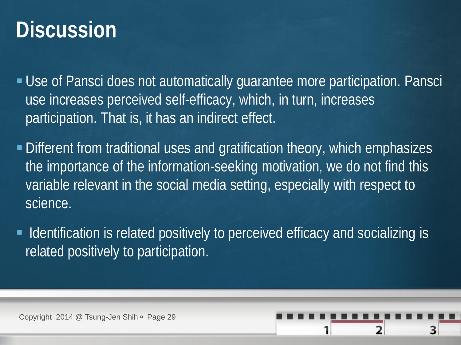# **Discussion**

 Use of Pansci does not automatically guarantee more participation. Pansci use increases perceived self-efficacy, which, in turn, increases participation. That is, it has an indirect effect.

- **Different from traditional uses and gratification theory, which emphasizes** the importance of the information-seeking motivation, we do not find this variable relevant in the social media setting, especially with respect to science.
- I dentification is related positively to perceived efficacy and socializing is related positively to participation.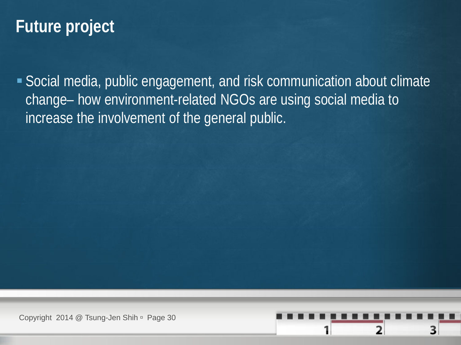#### **Future project**

 Social media, public engagement, and risk communication about climate change– how environment-related NGOs are using social media to increase the involvement of the general public.